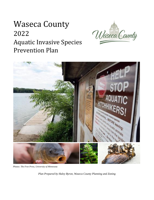# Waseca County 2022 Aquatic Invasive Species Prevention Plan





*Photos: The Free Press, University of Minnesota*

*Plan Prepared by Haley Byron, Waseca County Planning and Zoning*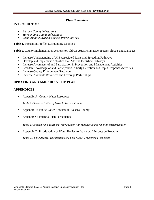# **Plan Overview**

### **INTRODUCTION**

- *Waseca County Infestations*
- *Surrounding County Infestations*
- *Local Aquatic Invasive Species Prevention Aid*

**Table 1.** Infestation Profile: Surrounding Counties

**Table 2.** County Implementation Actions to Address Aquatic Invasive Species Threats and Damages

- Increase Understanding of AIS Associated Risks and Spreading Pathways
- Develop and Implement Activities that Address Identified Pathways
- **Increase Awareness of and Participation in Prevention and Management Activities**
- Broaden Knowledge of and Participation in Early Detection and Rapid Response Activities
- **Increase County Enforcement Resources**
- Increase Available Resources and Leverage Partnerships

# **UPDATING AND AMENDING THE PLAN**

# **APPENDICES**

■ Appendix A: County Water Resources

*Table 3. Characterization of Lakes in Waseca County* 

- Appendix B: Public Water Accesses in Waseca County
- Appendix C: Potential Plan Participants

*Table 4. Contacts for Entities that may Partner with Waseca County for Plan Implementation*

Appendix D: Prioritization of Water Bodies for Watercraft Inspection Program

*Table 5. Public Access Prioritization Scheme for Level 1 Watercraft Inspectors*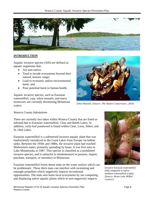

### **INTRODUCTION**

Aquatic invasive species (AIS) are defined as aquatic organisms that:

- Are non-native:
- Tend to invade ecosystems beyond their natural, historic range;
- Lead to economic and/or environmental harm; and
- Pose potential harm to human health.

Aquatic invasive species, such as Eurasian watermilfoil, carp, zebra mussels, and starry stonewort, are currently threatening Minnesota waters.



Zebra Mussels. *(Source: The Nature Conservancy, 2016)*

#### *Waseca County Infestations*

There are currently two lakes within Waseca County that are listed as infested due to Eurasian watermilfoil, Clear and Reeds Lakes. In addition, curly-leaf pondweed is found within Clear, Loon, Sibert, and St. Olaf Lakes.

Eurasian watermilfoil is a submersed invasive aquatic plant that was inadvertently introduced to the Great Lakes from Europe via ballast tanks. Between the 1950s and 1980s, the invasive plant had reached Midwestern states, primarily spreading by boats. It was first seen in Lake Minnetonka in 1987. This species is classified as a prohibited invasive species, and is unlawful (a misdemeanor) to possess, import, purchase, transport, or introduce in Minnesota.

Eurasian watermilfoil forms dense mats on the water surface which can be problematic. These thick mats can interfere with swimming and entangle propellers which negatively impacts recreational opportunities. The mats also harm local ecosystems by out competing and displacing native aquatic plants which in turn negatively impacts



Invasive Eurasian watermilfoil *(left)* compared to native northern watermilfoil *(right). (Source: Brant Lake Milfoil Control.)*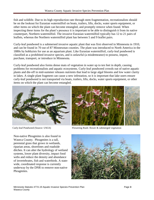fish and wildlife. Due to its high reproduction rate through stem fragmentation, recreationalists should be on the lookout for Eurasian watermilfoil on boats, trailers, lifts, docks, water sports equipment, or other items on which the plant can become entangled, and promptly remove when found. When inspecting these items for the plant's presence it is important to be able to distinguish it from its native counterpart, Northern watermilfoil. The invasive Eurasian watermilfoil typically has 12 to 21 pairs of leaflets, whereas the Northern watermilfoil plant has between 5 and 9 leaflet pairs.

Curly-leaf pondweed is a submersed invasive aquatic plant that was first observed in Minnesota in 1910, and can be found in 70 out of 87 Minnesotan counties. The plant was introduced to North America in the 1880s by hobbyists for use as an aquarium plant. Like Eurasian watermilfoil, curly-leaf pondweed is classified as a prohibited invasive species, and is unlawful (a misdemeanor) to possess, import, purchase, transport, or introduce in Minnesota.

Curly-leaf pondweed also forms dense mats of vegetation in water up to ten feet in depth, causing problems for recreationalists and aquatic ecosystems. Curly-leaf pondweed crowds out of native aquatic plants and die-off in mid-summer releases nutrients that lead to large algal blooms and low water clarity in lakes. A single plant fragment can cause a new infestation, so it is important that lake users ensure curly-leaf pondweed is not transported via boats, trailers, lifts, docks, water sports equipment, or other items on which the plant can become entangled.





Curly-leaf Pondweed (Source: USGS) Flowering Rush: flower & submerged vegetation

Non-native Phragmites is also found in Waseca County. Phragmites is a tall, perennial grass that grows in wetlands, riparian areas, shorelines and roadside ditches. It can alter the hydrology of wetland systems, lower plant diversity, impact food webs and reduce the density and abundance of invertebrates, fish and waterbirds. A statewide, coordinated response is currently underway by the DNR to remove non-native Phragmites.

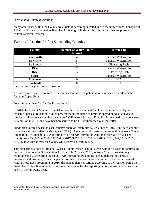#### *Surrounding County Infestations*

Many other lakes within the County are at risk of becoming infested due to the unintentional transport of AIS through aquatic recreationalists. The following table shows the infestations that are present in counties adjacent Waseca:

|  | <b>Table 1.</b> Infestation Profile: Surrounding Counties |  |
|--|-----------------------------------------------------------|--|
|  |                                                           |  |

| <b>County</b>     | <b>Number of Water Bodies</b><br><b>Infested</b> | <b>Infested By</b>    |
|-------------------|--------------------------------------------------|-----------------------|
| <b>Blue Earth</b> |                                                  | Eurasian Watermilfoil |
| Le Sueur          |                                                  | Eurasian Watermilfoil |
| Le Sueur          |                                                  | <b>Flowering Rush</b> |
| <b>Rice</b>       |                                                  | Eurasian Watermilfoil |
| <b>Rice</b>       |                                                  | <b>Flowering Rush</b> |
| <b>Steele</b>     |                                                  | Eurasian Watermilfoil |
| Freeborn          |                                                  | N/A                   |
| Fairbault         |                                                  | N/A                   |

\*Does not include curly-leaf pondweed infestations.

An overview of water resources in the County that have the potential to be impacted by AIS can be found in Appendix A.

#### *Local Aquatic Invasive Species Prevention Aid*

In 2014, the State of Minnesota Legislature authorized an annual funding stream in Local Aquatic Invasive Species Prevention Aid "to prevent the introduction or limit the spread of aquatic invasive species at all access sites within the county," (Minnesota Statute 447.A19) . Statewide distributions were \$4.5 million in 2014, and have been prescribed to be \$10 million each year thereafter.

Funds are allocated based on each county's share of watercraft trailer launches (50%), and each county's share of watercraft trailer parking spaces (50%). A map of public water accesses within Waseca County can be found in Appendix B. Allocations of Local AIS Prevention Aid funds received by Waseca County were \$50,029 in 2016, \$47,744 in 2017, \$47,332 in 2018, \$47,286 in 2019, \$47,132 in 2020, \$47,047 in 2021 and Waseca County will receive \$46,918 in 2022.

This plan acts as a tool for linking Waseca County Water Plan initiatives with local goals for optimizing the use of the Local AIS Prevention Aid funds. In 2014 and 2015, Waseca County met statutory requirements by structuring the County AIS Prevention Plan to provide guidelines for the use of prevention aid proceeds, titling the plan according to the year it was submitted to the Department of Natural Resources. Beginning in 2016, the annual plan was retitled according to the year following the December 31 deadline in order to outline expenditures for the reporting period, as well as actions to be taken in the following year.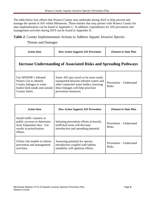The table below lists efforts that Waseca County may undertake during 2022 to help prevent and manage the spread of AIS within Minnesota. Those entities that may partner with Waseca County for plan implementation can be found in Appendix C. In addition, expenditures for AIS prevention and management activities during 2019 can be found in Appendix D.

## **Table 2**. County Implementation Actions to Address Aquatic Invasive Species

Threats and Damages

| <b>Action Item</b>                                                                                                              | <b>How Action Supports AIS Prevention</b>                                                                                                                                                 | <b>Element in State Plan</b>            |
|---------------------------------------------------------------------------------------------------------------------------------|-------------------------------------------------------------------------------------------------------------------------------------------------------------------------------------------|-----------------------------------------|
|                                                                                                                                 | <b>Increase Understanding of Associated Risks and Spreading Pathways</b>                                                                                                                  |                                         |
| Use MNDNR's Infested<br>Waters List to identify<br>County linkages to water<br>bodies both inside and outside<br>County limits. | Some AIS may travel or be more easily<br>transported between infested waters and<br>other connected water bodies; knowing<br>these linkages will help prioritize<br>prevention resources. | Prevention – Understand<br><b>Risks</b> |

| <b>Action Item</b>                                                                                                                 | <b>How Action Supports AIS Prevention</b>                                                                           | <b>Element in State Plan</b>            |
|------------------------------------------------------------------------------------------------------------------------------------|---------------------------------------------------------------------------------------------------------------------|-----------------------------------------|
| Install traffic counters at<br>public accesses to determine<br>most frequented sites. Use<br>results in prioritization<br>efforts. | Initiating prevention efforts at heavily<br>trafficked areas will decrease<br>introduction and spreading potential. | Prevention – Understand<br><b>Risks</b> |
| Utilize risk models to inform<br>prevention and management<br>activities.                                                          | Assessing potential for species<br>introduction coupled with habitat<br>suitability will optimize efforts.          | Prevention – Understand<br><b>Risks</b> |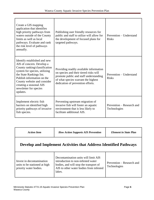| Create a GIS mapping<br>application that identifies<br>high priority pathways from<br>waters outside of the County<br>limits as well as local<br>pathways. Evaluate and rank<br>the risk level of pathways<br>annually.                                                               | Publishing user friendly resources for<br>public and staff to utilize will allow for<br>the development of focused plans for<br>targeted pathways.                                                      | Prevention – Understand<br><b>Risks</b>   |
|---------------------------------------------------------------------------------------------------------------------------------------------------------------------------------------------------------------------------------------------------------------------------------------|---------------------------------------------------------------------------------------------------------------------------------------------------------------------------------------------------------|-------------------------------------------|
| Identify established and new<br>AIS of concern. Develop a<br>County ranking/classification<br>system for species, utilizing<br>the State Rankings list.<br>Publish information on the<br>County website and consider<br>creating a seasonal AIS<br>newsletter for species<br>updates. | Providing readily available information<br>on species and their tiered risks will<br>promote public and staff understanding<br>of what species warrant the highest<br>dedication of prevention efforts. | Prevention - Understand<br><b>Risks</b>   |
| Implement electric fish<br>barriers on identified high<br>priority pathways of invasive<br>fish species.                                                                                                                                                                              | Preventing upstream migration of<br>invasive fish will foster an aquatic<br>environment that is less likely to<br>facilitate additional AIS.                                                            | Prevention – Research and<br>Technologies |

| <b>Action Item</b>                                                                   | <b>How Action Supports AIS Prevention</b>                                                                                                                                 | <b>Element in State Plan</b>              |
|--------------------------------------------------------------------------------------|---------------------------------------------------------------------------------------------------------------------------------------------------------------------------|-------------------------------------------|
|                                                                                      | Develop and Implement Activities that Address Identified Pathways                                                                                                         |                                           |
| Invest in decontamination<br>units to be stationed at high<br>priority water bodies. | Decontamination units will limit AIS<br>introduction to non-infested water<br>bodies, and will stop the transport of<br>AIS to other water bodies from infested<br>lakes. | Prevention – Research and<br>Technologies |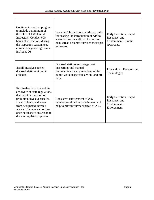| Continue inspection program<br>to include a minimum of<br>three Level 1 Watercraft<br>Inspectors. Conduct 600<br>hours of inspections during<br>the inspection season. (see<br>current delegation agreement<br>in Appx. D).                                                           | Watercraft inspectors are primary units<br>for ceasing the introduction of AIS to<br>water bodies. In addition, inspectors<br>help spread accurate outreach messages<br>to boaters. | Early Detection, Rapid<br>Response, and<br>Containment – Public<br>Awareness |
|---------------------------------------------------------------------------------------------------------------------------------------------------------------------------------------------------------------------------------------------------------------------------------------|-------------------------------------------------------------------------------------------------------------------------------------------------------------------------------------|------------------------------------------------------------------------------|
| Install invasive species<br>disposal stations at public<br>accesses.                                                                                                                                                                                                                  | Disposal stations encourage boat<br>inspections and manual<br>decontaminations by members of the<br>public while inspectors are on- and off-<br>duty.                               | Prevention – Research and<br>Technologies                                    |
| Ensure that local authorities<br>are aware of state regulations<br>that prohibit transport of<br>prohibited invasive species,<br>aquatic plants, and water<br>from designated infested<br>waters. Convene authorities<br>once per inspection season to<br>discuss regulatory updates. | Consistent enforcement of AIS<br>regulations aimed at containment will<br>help to prevent further spread of AIS.                                                                    | Early Detection, Rapid<br>Response, and<br>Containment-<br>Enforcement       |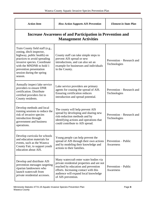| <b>Action Item</b>                                                                                                                                                                                                                                       | <b>How Action Supports AIS Prevention</b>                                                                                                                                                                                          | <b>Element in State Plan</b>              |  |
|----------------------------------------------------------------------------------------------------------------------------------------------------------------------------------------------------------------------------------------------------------|------------------------------------------------------------------------------------------------------------------------------------------------------------------------------------------------------------------------------------|-------------------------------------------|--|
| <b>Increase Awareness of and Participation in Prevention and</b><br><b>Management Activities</b>                                                                                                                                                         |                                                                                                                                                                                                                                    |                                           |  |
| Train County field staff (e.g.,<br>zoning, ditch inspector,<br>highway, public health) on<br>practices to avoid spreading<br>invasive species. Coordinate<br>with the MNDNR to hold 1<br>prevention presentation<br>session during the spring<br>season. | County staff can take simple steps to<br>prevent AIS spread or new<br>introductions, and can also set an<br>example for businesses and individuals<br>in the County.                                                               | Prevention – Research and<br>Technologies |  |
| Annually inspect lake service<br>providers to ensure DNR<br>certification. Distribute<br>certified providers list to<br>County residents.                                                                                                                | Lake service providers are primary<br>agents for ceasing the spread of AIS.<br>Ensuring certification reduces<br>introduction and spread potential.                                                                                | Prevention – Research and<br>Technologies |  |
| Develop methods and local<br>training sessions to reduce the<br>risk of invasive species<br>introduction through<br>government and business<br>operations.                                                                                               | The county will help prevent AIS<br>spread by developing and sharing new<br>risk-reduction methods and by<br>identifying actions and operations that<br>could contribute to AIS spread.                                            | Prevention – Research and<br>Technologies |  |
| Develop curricula for schools<br>and education materials for<br>events, such as the Waseca<br>County Fair, to support youth<br>education about AIS.                                                                                                      | Young people can help prevent the<br>spread of AIS through their own actions<br>and by modeling their knowledge and<br>actions to their families.                                                                                  | Prevention – Public<br>Awareness          |  |
| Develop and distribute AIS<br>prevention messages targeting<br>riparian landowners who<br>launch watercraft from<br>private residential accesses.                                                                                                        | Many watercraft enter water bodies via<br>private residential properties and are not<br>reached by education and prevention<br>efforts. Increasing contact with this<br>audience will expand local knowledge<br>of AIS prevention. | Prevention – Public<br>Awareness          |  |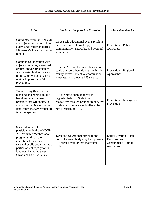| <b>Action</b>                                                                                                                                                                                                                                                        | <b>How Action Supports AIS Prevention</b>                                                                                                                                      | <b>Element in State Plan</b>                                                 |
|----------------------------------------------------------------------------------------------------------------------------------------------------------------------------------------------------------------------------------------------------------------------|--------------------------------------------------------------------------------------------------------------------------------------------------------------------------------|------------------------------------------------------------------------------|
| Coordinate with the MNDNR<br>and adjacent counties to host<br>a day long workshop during<br>Minnesota's Invasive Species<br>month.                                                                                                                                   | Large scale educational events result in<br>the expansion of knowledge,<br>communication networks, and potential<br>volunteers.                                                | Prevention – Public<br>Awareness                                             |
| Continue collaboration with<br>adjacent counties, watershed<br>groups, and/or jurisdictions<br>whose water bodies connect<br>to the County's to develop a<br>regional approach to AIS<br>prevention.                                                                 | Because AIS and the individuals who<br>could transport them do not stay inside<br>county borders, effective coordination<br>is necessary to prevent AIS spread.                | Prevention – Regional<br>Approaches                                          |
| Train County field staff (e.g.,<br>planning and zoning, public<br>health) on management<br>practices that will maintain<br>and/or create diverse, native<br>landscapes that are resilient to<br>invasive species.                                                    | AIS are more likely to thrive in<br>degraded habitats. Stabilizing<br>ecosystems through promotion of native<br>landscapes allows water bodies to be<br>more resistant to AIS. | Prevention – Manage for<br>Prevention                                        |
| Seek individuals for<br>participation in the MNDNR<br>AIS Volunteer/Ambassador<br>program to distribute<br>educational materials at<br>selected public access points,<br>particularly at high priority<br>landings, including those at<br>Clear, and St. Olaf Lakes. | Targeting educational efforts to the<br>users of a water body may help prevent<br>AIS spread from or into that water<br>body.                                                  | Early Detection, Rapid<br>Response, and<br>Containment - Public<br>Awareness |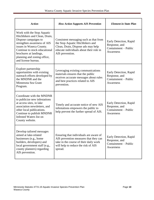| <b>Action</b>                                                                                                                                                                                                                                                   | <b>How Action Supports AIS Prevention</b>                                                                                                                                      | <b>Element in State Plan</b>                                                 |
|-----------------------------------------------------------------------------------------------------------------------------------------------------------------------------------------------------------------------------------------------------------------|--------------------------------------------------------------------------------------------------------------------------------------------------------------------------------|------------------------------------------------------------------------------|
| Work with the Stop Aquatic<br>Hitchhikers and Clean, Drain,<br>Dispose campaigns to<br>strengthen awareness of AIS<br>issues in Waseca County.<br>Continue to stock educational<br>brochures at landings,<br>planning and zoning office,<br>and license bureau. | Consistent messaging such as that from<br>the Stop Aquatic Hitchhikers and<br>Clean, Drain, Dispose ads may help<br>educate individuals about their role in<br>AIS prevention. | Early Detection, Rapid<br>Response, and<br>Containment – Public<br>Awareness |
| Explore partnership<br>opportunities with existing<br>outreach efforts developed by<br>the MNDNR and the<br>Minnesota Sea Grant<br>Program.                                                                                                                     | Leveraging existing communications<br>materials ensures that the public<br>receives accurate messages about rules<br>and best practices related to AIS<br>prevention.          | Early Detection, Rapid<br>Response, and<br>Containment – Public<br>Awareness |
| Coordinate with the MNDNR<br>to publicize new infestations<br>at access sites, in lake<br>association newsletters, and<br>other local publications.<br>Continue to publish MNDNR<br>Infested Waters list on<br>County website.                                  | Timely and accurate notice of new AIS<br>infestations empowers the public to<br>help prevent the further spread of AIS.                                                        | Early Detection, Rapid<br>Response, and<br>Containment – Public<br>Awareness |
| Develop tailored messages<br>aimed at lake-related<br>businesses (e.g., home<br>builders, developers) and<br>local government staff (e.g.,<br>county planners) regarding<br>AIS prevention.                                                                     | Ensuring that individuals are aware of<br>AIS prevention measures that they can<br>take in the course of their daily work<br>will help to reduce the risk of AIS<br>spread.    | Early Detection, Rapid<br>Response, and<br>Containment – Public<br>Awareness |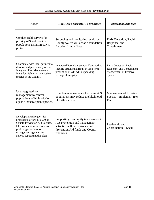| <b>Action</b>                                                                                                                                                                                                               | <b>How Action Supports AIS Prevention</b>                                                                                                                  | <b>Element in State Plan</b>                                                               |
|-----------------------------------------------------------------------------------------------------------------------------------------------------------------------------------------------------------------------------|------------------------------------------------------------------------------------------------------------------------------------------------------------|--------------------------------------------------------------------------------------------|
| Conduct field surveys for<br>priority AIS and monitor<br>populations using MNDNR<br>protocols.                                                                                                                              | Surveying and monitoring results on<br>County waters will act as a foundation<br>for prioritizing efforts.                                                 | Early Detection, Rapid<br>Response, and<br>Containment                                     |
| Coordinate with local partners to<br>develop and periodically revise<br><b>Integrated Pest Management</b><br>Plans for high priority invasive<br>species in the County.                                                     | <b>Integrated Pest Management Plans outline</b><br>specific actions that result in long-term<br>prevention of AIS while upholding<br>ecological integrity. | Early Detection, Rapid<br>Response, and Containment -<br>Management of Invasive<br>Species |
| Use integrated pest<br>management to control<br>populations of high priority<br>aquatic invasive plant species.                                                                                                             | Effective management of existing AIS<br>populations may reduce the likelihood<br>of further spread.                                                        | Management of Invasive<br>Species - Implement IPM<br>Plans                                 |
| Develop annual request for<br>proposal to award \$10,000 of<br>County Prevention Aid to cities,<br>lake associations, schools, non-<br>profit organizations, or<br>management agencies for<br>actions supporting this plan. | Supporting community involvement in<br>AIS prevention and management<br>activities will maximize awarded<br>Prevention Aid funds and County<br>resources.  | Leadership and<br>Coordination - Local                                                     |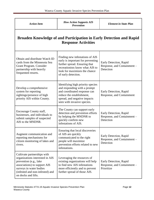| <b>Action Item</b>                                                                                                                                                                                            | <b>How Action Supports AIS</b><br><b>Prevention</b>                                                                                                                                              | <b>Element in State Plan</b>                                        |  |  |
|---------------------------------------------------------------------------------------------------------------------------------------------------------------------------------------------------------------|--------------------------------------------------------------------------------------------------------------------------------------------------------------------------------------------------|---------------------------------------------------------------------|--|--|
| <b>Broaden Knowledge of and Participation in Early Detection and Rapid</b><br><b>Response Activities</b>                                                                                                      |                                                                                                                                                                                                  |                                                                     |  |  |
| Obtain and distribute Watch ID<br>cards from the Minnesota Sea<br>Grant Program. Consider<br>partnership with heavily<br>frequented resorts.                                                                  | Finding new infestations of AIS<br>early is important for preventing<br>further spread. Ensuring that<br>recreationists know what AIS to<br>look for maximizes the chance<br>of early detection. | Early Detection, Rapid<br>Response, and Containment -<br>Detection  |  |  |
| Develop a comprehensive<br>system for reporting<br>sightings/presence of high<br>priority AIS within County.                                                                                                  | Identifying high priority species<br>and responding with a prompt<br>and coordinated response can<br>reduce the establishment,<br>spread, and negative impacts<br>seen with invasive species.    | Early Detection, Rapid<br>Response, and Containment                 |  |  |
| <b>Encourage County staff,</b><br>businesses, and individuals to<br>submit samples of suspected<br>AIS to the MNDNR.                                                                                          | The County can support early<br>detection and prevention efforts<br>by helping the MNDNR to<br>quickly confirm new<br>infestations of AIS.                                                       | Early Detection, Rapid<br>Response, and Containment -<br>Detection  |  |  |
| Augment communication and<br>reporting mechanisms for<br>citizen monitoring of lakes and<br>rivers.                                                                                                           | Ensuring that local discoveries<br>of AIS are quickly<br>communicated to the right<br>people will maximize<br>prevention efforts related to new<br>infestations.                                 | Early Detection, Rapid<br>Response, and Containment -<br>Detection  |  |  |
| Cultivate partnerships with<br>organizations interested in AIS<br>prevention (e.g., lake<br>associations) to support AIS<br>surveys in water bodies<br>(infested and non-infested) and<br>on docks and lifts. | Leveraging the resources of<br>existing organizations will help<br>to find new AIS infestations<br>more efficiently and to prevent<br>further spread of those AIS.                               | Early Detection, Rapid<br>Response, and Containment -<br>Prioritize |  |  |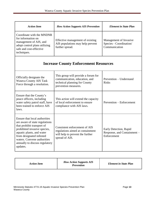| <b>Action Item</b>                                                                                                                                                                                                                                                                                                                                                                             | <b>How Action Supports AIS Prevention</b>                                                                                     | <b>Element in State Plan</b>                                         |  |  |
|------------------------------------------------------------------------------------------------------------------------------------------------------------------------------------------------------------------------------------------------------------------------------------------------------------------------------------------------------------------------------------------------|-------------------------------------------------------------------------------------------------------------------------------|----------------------------------------------------------------------|--|--|
| Coordinate with the MNDNR<br>for information on<br>management of AIS, and<br>adopt control plans utilizing<br>safe and cost-effective<br>techniques.                                                                                                                                                                                                                                           | Effective management of existing<br>AIS populations may help prevent<br>further spread.                                       | Management of Invasive<br>Species - Coordination/<br>Communication   |  |  |
| <b>Increase County Enforcement Resources</b>                                                                                                                                                                                                                                                                                                                                                   |                                                                                                                               |                                                                      |  |  |
| Officially designate the<br><b>Waseca County AIS Task</b><br>Force through a resolution.                                                                                                                                                                                                                                                                                                       | This group will provide a forum for<br>communication, education, and<br>technical planning for County<br>prevention measures. | Prevention - Understand<br><b>Risks</b>                              |  |  |
| Ensure that the County's<br>peace officers, including<br>water safety patrol staff, have<br>been trained to enforce AIS<br>laws.                                                                                                                                                                                                                                                               | This action will extend the capacity<br>of local enforcement to ensure<br>compliance with AIS laws.                           | Prevention – Enforcement                                             |  |  |
| Ensure that local authorities<br>are aware of state regulations<br>that prohibit transport of<br>Consistent enforcement of AIS<br>prohibited invasive species,<br>regulations aimed at containment<br>aquatic plants, and water<br>will help to prevent the further<br>from designated infested<br>spread of AIS.<br>waters. Convene authorities<br>annually to discuss regulatory<br>updates. |                                                                                                                               | Early Detection, Rapid<br>Response, and Containment –<br>Enforcement |  |  |

| <b>Action Item</b> | <b>How Action Supports AIS</b><br><b>Prevention</b> | <b>Element in State Plan</b> |
|--------------------|-----------------------------------------------------|------------------------------|
|--------------------|-----------------------------------------------------|------------------------------|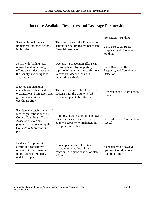| <b>Increase Available Resources and Leverage Partnerships</b>                                                                                                                                    |                                                                                                                                                                           |                                                                    |  |
|--------------------------------------------------------------------------------------------------------------------------------------------------------------------------------------------------|---------------------------------------------------------------------------------------------------------------------------------------------------------------------------|--------------------------------------------------------------------|--|
|                                                                                                                                                                                                  |                                                                                                                                                                           | Prevention – Funding                                               |  |
| Seek additional funds to<br>implement unfunded actions<br>in this plan.                                                                                                                          | The effectiveness of AIS prevention<br>actions can be limited by inadequate<br>financial resources.                                                                       | Early Detection, Rapid<br>Response, and Containment -<br>Funding   |  |
| Assist with funding local<br>outreach and monitoring<br>efforts by entities other than<br>the County, including lake<br>associations.                                                            | Overall AIS prevention efforts can<br>be strengthened by supporting the<br>capacity of other local organizations<br>to conduct AIS outreach and<br>monitoring activities. | Early Detection, Rapid<br>Response, and Containment -<br>Detection |  |
| Develop and maintain<br>contacts with other local<br>organizations, businesses, and<br>government entities to<br>coordinate efforts.                                                             | The participation of local partners is<br>necessary for the County's AIS<br>prevention plan to be effective.                                                              | Leadership and Coordination<br>- Local                             |  |
| Facilitate the establishment of<br>local organizations such as<br><b>County Coalitions of Lake</b><br>Associations to create<br>partners in implementing the<br>County's AIS prevention<br>plan. | Additional partnerships among local<br>organizations will increase the<br>county's capacity to implement its<br>AIS prevention plan.                                      | Leadership and Coordination<br>- Local                             |  |
| Evaluate AIS prevention<br>efforts and cooperative<br>relationships for possible<br>improvements. Annually<br>update this plan.                                                                  | Annual plan updates facilitate<br>program growth. Local input<br>contributes to prioritization of plan<br>efforts.                                                        | Management of Invasive<br>Species - Coordination/<br>Communication |  |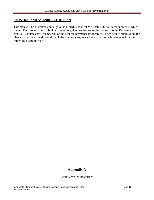#### **UPDATING AND AMENDING THE PLAN**

This plan will be submitted annually to the MNDNR to meet MN Statute 477A.19 requirements, which states, "Each county must submit a copy of its guidelines for use of the proceeds to the Department of Natural Resources by December 31 of the year the payments are received." Each year of submission, the plan will outline expenditures through the funding year, as well as actions to be implemented for the following planning year.

# **Appendix A**

#### County Water Resources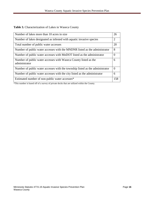#### **Table 3.** Characterization of Lakes in Waseca County

| Number of lakes more than 10 acres in size                                        | 26       |
|-----------------------------------------------------------------------------------|----------|
| Number of lakes designated as infested with aquatic invasive species              | 2        |
| Total number of public water accesses                                             | 20       |
| Number of public water accesses with the MNDNR listed as the administrator        | 8        |
| Number of public water accesses with MnDOT listed as the administrator            | $\Omega$ |
| Number of public water accesses with Waseca County listed as the<br>administrator | 6        |
| Number of public water accesses with the township listed as the administrator     | $\Omega$ |
| Number of public water accesses with the city listed as the administrator         | 6        |
| Estimated number of non-public water accesses*                                    | 158      |

\*This number is based off of a survey of private docks that are utilized within the County.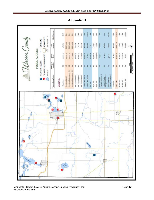

**Appendix B**

Waseca County Aquatic Invasive Species Prevention Plan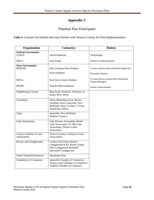# **Appendix C**

# Potential Plan Participants

**Table 4.** Contacts for Entities that may Partner with Waseca County for Plan Implementation

| Organization                              | Contact(s)                                                                                                                  | $\text{Role}(s)$                                                         |
|-------------------------------------------|-----------------------------------------------------------------------------------------------------------------------------|--------------------------------------------------------------------------|
| <b>Federal Government:</b><br>$USACE -$   | David Studenski                                                                                                             | Hydrologist                                                              |
| NRCS-                                     | <b>Noel Frank</b>                                                                                                           | <b>District Conservationist</b>                                          |
| <b>State Government:</b><br><b>MNDNR-</b> | Dan Girolamo/Tina Wolbers<br>Kevin Ballman                                                                                  | Invasive Species Specialist/Hydrologist/AIS<br><b>Prevention Planner</b> |
| $MPCA -$                                  | Paul Davis/ Justin Watkins                                                                                                  | Le Sueur River/Cannon River Watershed<br>Project Managers                |
| <b>BWSR-</b>                              | Jennifer Mocol-Johnson                                                                                                      | <b>Board Conservationist</b>                                             |
| Neighboring Counties                      | Blue Earth, Freeborn, Faribault, Le<br>Sueur, Rice, Steele                                                                  |                                                                          |
| Townships                                 | Alton, Blooming Grove, Byron,<br>Freedom, Iosco, Janesville, New<br>Richland, Otisco, St Mary, Vivian,<br>Woodville, Wilton |                                                                          |
| Cities                                    | Janesville, New Richland,<br>Waldorf, Waseca                                                                                |                                                                          |
| <b>Lake Associations</b>                  | Lake Elysian Association, Reeds<br>Lake Association, St. Olaf Lake<br>Association, Waseca Lakes<br>Association              |                                                                          |
| County Coalition of Lake<br>Associations  | Waseca County Coalition of Lake<br>Associations                                                                             |                                                                          |
| <b>Resorts and Campgrounds</b>            | Cannon Gate Park, Kiesler's<br>Campground & RV Resort, Kamp<br>Dels Campground, Reinbold<br>Sportsmen Campground            |                                                                          |
| <b>Water Oriented Businesses</b>          | Sportsman Stop                                                                                                              |                                                                          |
| Chamber(s) of Commerce                    | Janesville Chamber of Commerce,<br>Waseca Area Chamber of Commerce,<br>Waldorf Chamber of Commerce                          |                                                                          |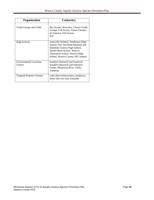| Organization                             | Contact(s)                                                                                                                                                                                                    |
|------------------------------------------|---------------------------------------------------------------------------------------------------------------------------------------------------------------------------------------------------------------|
| Youth Groups and Clubs                   | Boy Scouts, Brownies, Church Youth<br>Groups, Cub Scouts, Future Farmers<br>of America, Girl Scouts,<br>4-H                                                                                                   |
| High Schools                             | Janesville Waldorf Pemberton High<br>School, New Richland-Hartland and<br>Ellendale-Geneva High School,<br>Sacred Heart School, Waseca<br>Alternative School, Waseca High<br>School, Waseca County Off Campus |
| <b>Environmental Learning</b><br>Centers | Southern Research and Outreach<br>Southern Research and Outreach<br>Center, Minnesota River Valley<br>Audubon                                                                                                 |
| <b>Targeted Property Owners</b>          | Lake shore homeowners, producers,<br>those who live near wetlands.                                                                                                                                            |